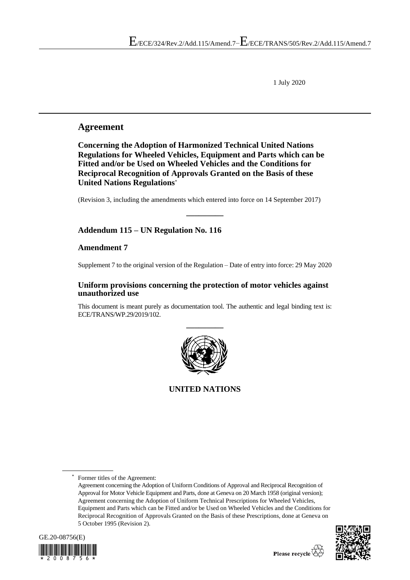1 July 2020

## **Agreement**

**Concerning the Adoption of Harmonized Technical United Nations Regulations for Wheeled Vehicles, Equipment and Parts which can be Fitted and/or be Used on Wheeled Vehicles and the Conditions for Reciprocal Recognition of Approvals Granted on the Basis of these United Nations Regulations**\*

(Revision 3, including the amendments which entered into force on 14 September 2017)

**\_\_\_\_\_\_\_\_\_**

## **Addendum 115 – UN Regulation No. 116**

## **Amendment 7**

Supplement 7 to the original version of the Regulation – Date of entry into force: 29 May 2020

## **Uniform provisions concerning the protection of motor vehicles against unauthorized use**

This document is meant purely as documentation tool. The authentic and legal binding text is: ECE/TRANS/WP.29/2019/102.



**UNITED NATIONS**

Former titles of the Agreement:

Agreement concerning the Adoption of Uniform Conditions of Approval and Reciprocal Recognition of Approval for Motor Vehicle Equipment and Parts, done at Geneva on 20 March 1958 (original version); Agreement concerning the Adoption of Uniform Technical Prescriptions for Wheeled Vehicles, Equipment and Parts which can be Fitted and/or be Used on Wheeled Vehicles and the Conditions for Reciprocal Recognition of Approvals Granted on the Basis of these Prescriptions, done at Geneva on 5 October 1995 (Revision 2).